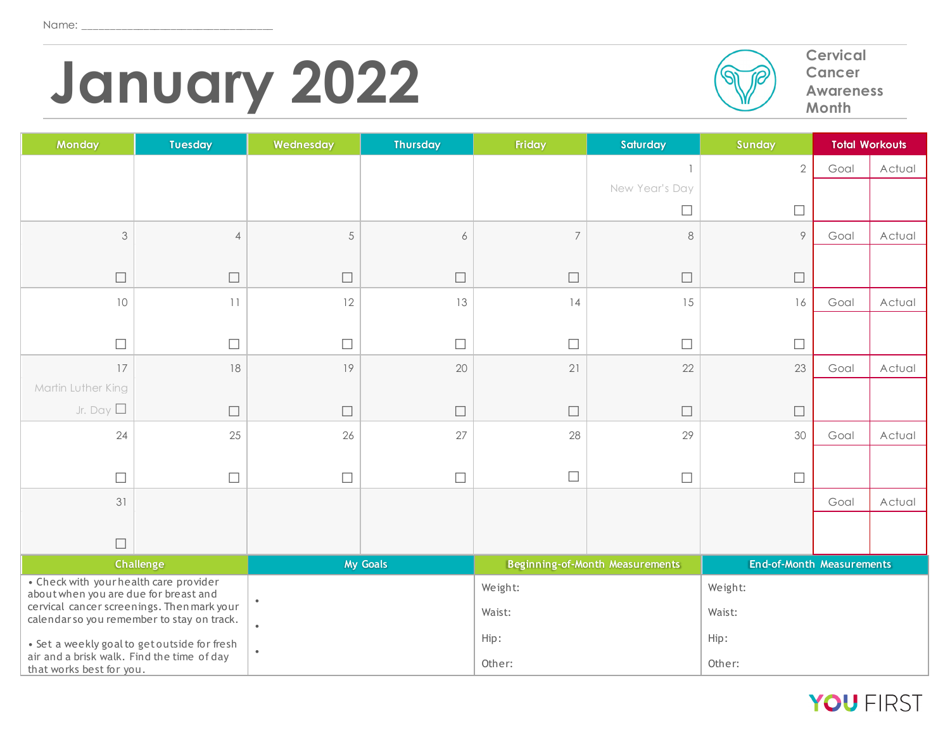# **January** 2022<br> **Cervical Advantage Concer Advantage Advantage Cervical Advantage Cervical Advantage Cervical**



**Cancer Awareness Month**

| Monday                                                                 | <b>Tuesday</b>                               | Wednesday | <b>Thursday</b> | Friday         | Saturday                               | Sunday                           |      | <b>Total Workouts</b> |
|------------------------------------------------------------------------|----------------------------------------------|-----------|-----------------|----------------|----------------------------------------|----------------------------------|------|-----------------------|
|                                                                        |                                              |           |                 |                |                                        | $\sqrt{2}$                       | Goal | Actual                |
|                                                                        |                                              |           |                 |                | New Year's Day                         |                                  |      |                       |
|                                                                        |                                              |           |                 |                | $\Box$                                 | $\Box$                           |      |                       |
| $\mathfrak{Z}$                                                         | $\overline{4}$                               | 5         | 6               | $\overline{7}$ | 8                                      | 9                                | Goal | Actual                |
|                                                                        |                                              |           |                 |                |                                        |                                  |      |                       |
| $\Box$                                                                 | $\Box$                                       | $\Box$    | $\Box$          | $\Box$         | $\Box$                                 | $\Box$                           |      |                       |
| 10                                                                     | 11                                           | 12        | 13              | 14             | 15                                     | 16                               | Goal | Actual                |
|                                                                        |                                              |           |                 |                |                                        |                                  |      |                       |
| $\Box$                                                                 | $\Box$                                       | $\Box$    | $\Box$          | $\Box$         | $\Box$                                 | $\Box$                           |      |                       |
| 17                                                                     | 18                                           | 19        | 20              | 21             | 22                                     | 23                               | Goal | Actual                |
| Martin Luther King                                                     |                                              |           |                 |                |                                        |                                  |      |                       |
| Jr. Day $\square$                                                      | $\Box$                                       | $\Box$    | $\Box$          | $\Box$         | $\Box$                                 | $\Box$                           |      |                       |
| 24                                                                     | 25                                           | 26        | 27              | 28             | 29                                     | 30                               | Goal | Actual                |
|                                                                        |                                              |           |                 |                |                                        |                                  |      |                       |
| $\Box$                                                                 | $\Box$                                       | $\Box$    | $\Box$          | $\Box$         | $\Box$                                 | $\Box$                           |      |                       |
| 31                                                                     |                                              |           |                 |                |                                        |                                  | Goal | Actual                |
|                                                                        |                                              |           |                 |                |                                        |                                  |      |                       |
| $\Box$                                                                 | <b>Challenge</b>                             |           | <b>My Goals</b> |                |                                        | <b>End-of-Month Measurements</b> |      |                       |
| • Check with your health care provider                                 |                                              |           |                 | Weight:        | <b>Beginning-of-Month Measurements</b> |                                  |      |                       |
| about when you are due for breast and                                  | cervical cancer screenings. Then mark your   | $\bullet$ |                 |                |                                        | Weight:                          |      |                       |
|                                                                        | calendar so you remember to stay on track.   | $\bullet$ |                 | Waist:         |                                        | Waist:                           |      |                       |
|                                                                        | • Set a weekly goal to get outside for fresh | $\bullet$ |                 | Hip:           |                                        | Hip:                             |      |                       |
| air and a brisk walk. Find the time of day<br>that works best for you. |                                              |           |                 | Other:         |                                        | Other:                           |      |                       |

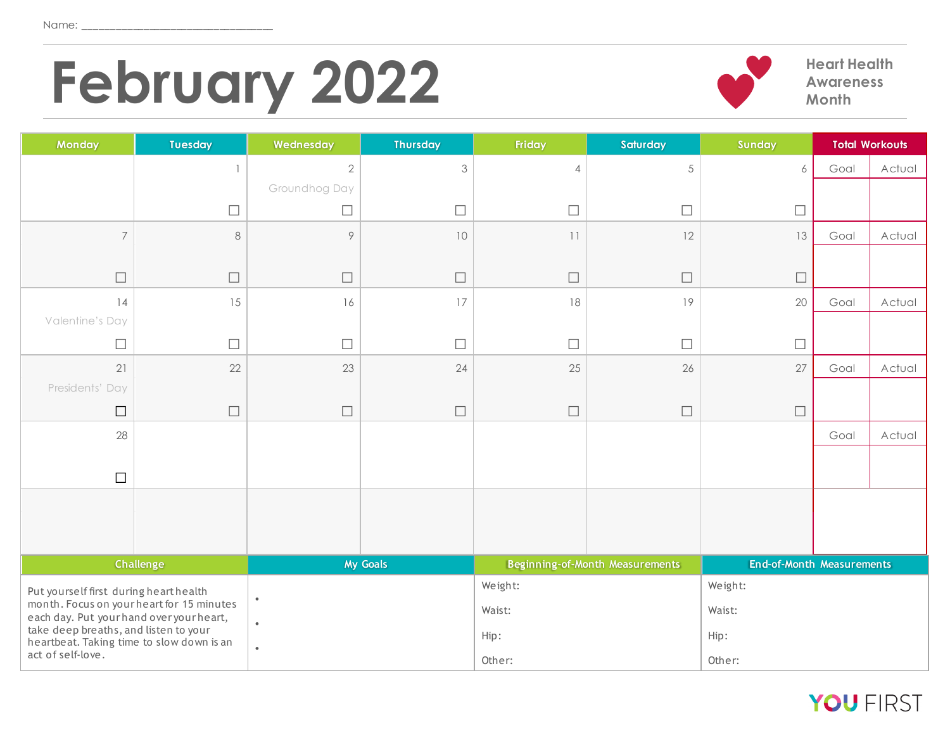## **February 2022 Part Health Awareness**



**Awareness Month**

| Monday                                                                              | <b>Tuesday</b>                                                                     | Wednesday     | <b>Thursday</b> | <b>Friday</b>  | Saturday                               | Sunday                    |      | <b>Total Workouts</b> |
|-------------------------------------------------------------------------------------|------------------------------------------------------------------------------------|---------------|-----------------|----------------|----------------------------------------|---------------------------|------|-----------------------|
|                                                                                     | $\mathbf{1}$                                                                       | $\sqrt{2}$    | 3               | $\overline{4}$ | $\sqrt{5}$                             | 6                         | Goal | Actual                |
|                                                                                     |                                                                                    | Groundhog Day |                 |                |                                        |                           |      |                       |
|                                                                                     | $\Box$                                                                             | $\Box$        | $\Box$          | $\Box$         | $\Box$                                 | $\Box$                    |      |                       |
| $\overline{7}$                                                                      | $\,8\,$                                                                            | $\circ$       | 10              | 11             | 12                                     | 13                        | Goal | Actual                |
|                                                                                     |                                                                                    |               |                 |                |                                        |                           |      |                       |
| $\Box$                                                                              | $\Box$                                                                             | $\Box$        | $\Box$          | $\Box$         | $\Box$                                 | $\Box$                    |      |                       |
| 14                                                                                  | 15                                                                                 | 16            | 17              | 18             | 19                                     | 20                        | Goal | Actual                |
| Valentine's Day                                                                     |                                                                                    |               |                 |                |                                        |                           |      |                       |
| $\Box$                                                                              | $\Box$                                                                             | $\Box$        | $\Box$          | $\Box$         | $\Box$                                 | $\Box$                    |      |                       |
| 21                                                                                  | 22                                                                                 | 23            | 24              | 25             | 26                                     | 27                        | Goal | Actual                |
| Presidents' Day                                                                     |                                                                                    |               |                 |                |                                        |                           |      |                       |
| $\Box$                                                                              | $\Box$                                                                             | $\Box$        | $\Box$          | $\Box$         | $\Box$                                 | $\Box$                    |      |                       |
| 28                                                                                  |                                                                                    |               |                 |                |                                        |                           | Goal | Actual                |
|                                                                                     |                                                                                    |               |                 |                |                                        |                           |      |                       |
| $\Box$                                                                              |                                                                                    |               |                 |                |                                        |                           |      |                       |
|                                                                                     |                                                                                    |               |                 |                |                                        |                           |      |                       |
|                                                                                     |                                                                                    |               |                 |                |                                        |                           |      |                       |
|                                                                                     |                                                                                    |               |                 |                |                                        |                           |      |                       |
|                                                                                     | Challenge                                                                          |               | <b>My Goals</b> |                | <b>Beginning-of-Month Measurements</b> | End-of-Month Measurements |      |                       |
| Put yourself first during heart health<br>month. Focus on your heart for 15 minutes |                                                                                    | $\bullet$     |                 | Weight:        |                                        | Weight:                   |      |                       |
|                                                                                     | each day. Put your hand over your heart,                                           |               |                 | Waist:         |                                        | Waist:                    |      |                       |
|                                                                                     | take deep breaths, and listen to your<br>heartbeat. Taking time to slow down is an |               |                 | Hip:           |                                        | Hip:                      |      |                       |
|                                                                                     | act of self-love.                                                                  |               |                 | Other:         |                                        | Other:                    |      |                       |

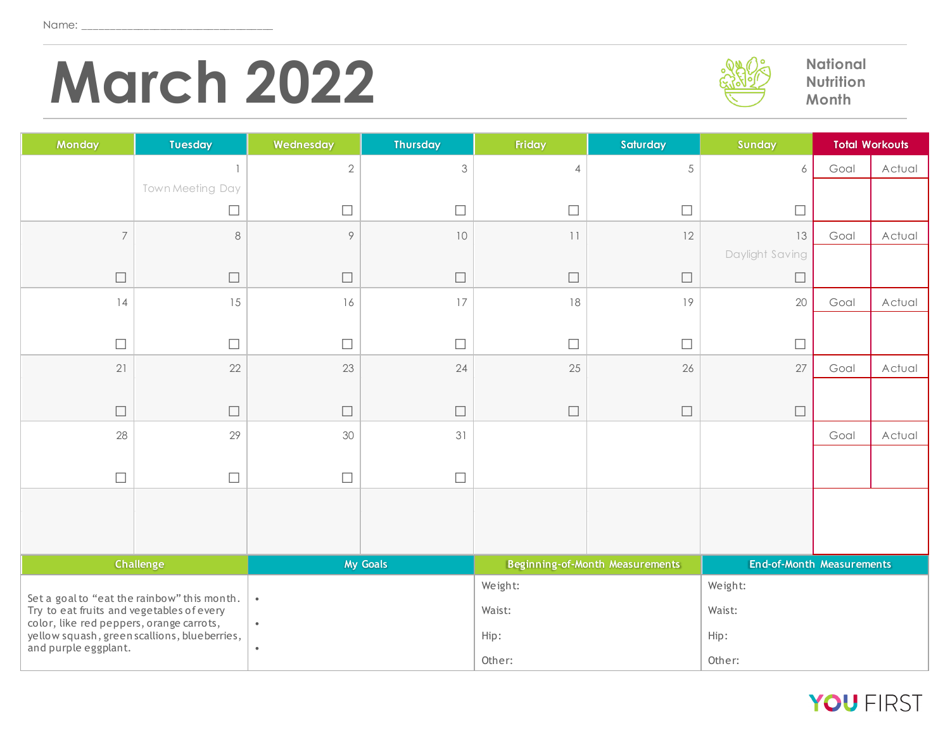## **March 2022 March** 2022



**Nutrition Month**

| Monday                                                               | <b>Tuesday</b>                              | Wednesday  | <b>Thursday</b> | Friday         | Saturday                        | Sunday                    |      | <b>Total Workouts</b> |
|----------------------------------------------------------------------|---------------------------------------------|------------|-----------------|----------------|---------------------------------|---------------------------|------|-----------------------|
|                                                                      |                                             | $\sqrt{2}$ | 3               | $\overline{4}$ | $\sqrt{5}$                      | 6                         | Goal | Actual                |
|                                                                      | Town Meeting Day                            |            |                 |                |                                 |                           |      |                       |
|                                                                      | $\Box$                                      | $\Box$     | $\Box$          | $\Box$         | $\Box$                          | $\Box$                    |      |                       |
| $\overline{7}$                                                       | 8                                           | $\circ$    | 10              | 11             | 12                              | 13                        | Goal | Actual                |
|                                                                      |                                             |            |                 |                |                                 | Daylight Saving           |      |                       |
| $\Box$                                                               | $\Box$                                      | $\Box$     | $\Box$          | $\Box$         | $\Box$                          | $\Box$                    |      |                       |
| 14                                                                   | 15                                          | 16         | 17              | 18             | 19                              | 20                        | Goal | Actual                |
|                                                                      |                                             |            |                 |                |                                 |                           |      |                       |
| $\Box$                                                               | $\Box$                                      | $\Box$     | $\Box$          | $\Box$         | $\Box$                          | $\Box$                    |      |                       |
| 21                                                                   | 22                                          | 23         | 24              | 25             | 26                              | $27\,$                    | Goal | Actual                |
|                                                                      |                                             |            |                 |                |                                 |                           |      |                       |
| $\Box$                                                               | $\Box$                                      | $\Box$     | $\Box$          | $\Box$         | $\Box$                          | $\Box$                    |      |                       |
| 28                                                                   | 29                                          | 30         | 31              |                |                                 |                           | Goal | Actual                |
|                                                                      |                                             |            |                 |                |                                 |                           |      |                       |
| $\Box$                                                               | $\Box$                                      | $\Box$     | $\Box$          |                |                                 |                           |      |                       |
|                                                                      |                                             |            |                 |                |                                 |                           |      |                       |
|                                                                      |                                             |            |                 |                |                                 |                           |      |                       |
|                                                                      | <b>Challenge</b>                            |            | <b>My Goals</b> |                | Beginning-of-Month Measurements | End-of-Month Measurements |      |                       |
|                                                                      |                                             |            |                 | Weight:        |                                 | Weight:                   |      |                       |
| Try to eat fruits and vegetables of every                            | Set a goal to "eat the rainbow" this month. | $\bullet$  |                 | Waist:         |                                 | Waist:                    |      |                       |
| color, like red peppers, orange carrots,                             |                                             | $\bullet$  |                 |                |                                 |                           |      |                       |
| yellow squash, green scallions, blueberries,<br>and purple eggplant. |                                             | $\bullet$  |                 | Hip:           |                                 | Hip:                      |      |                       |
|                                                                      |                                             |            |                 | Other:         |                                 | Other:                    |      |                       |

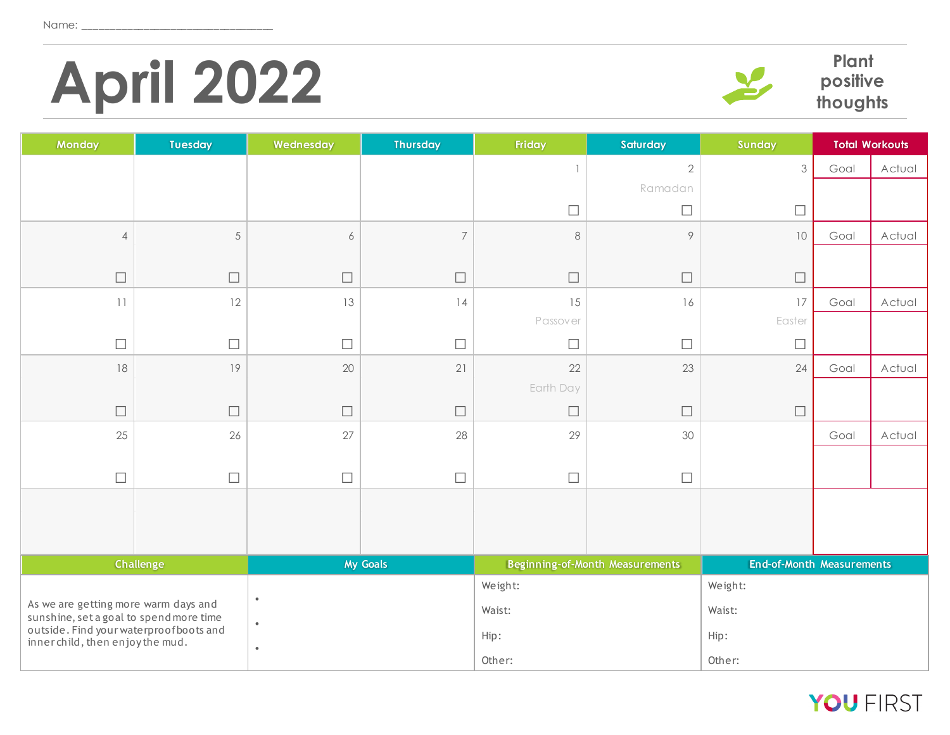# **April 2022****Plant**



**positive thoughts**

| <b>Monday</b>                    | <b>Tuesday</b>                                                                     | Wednesday        | Thursday       | Friday    | Saturday                        | Sunday                           |      | <b>Total Workouts</b> |
|----------------------------------|------------------------------------------------------------------------------------|------------------|----------------|-----------|---------------------------------|----------------------------------|------|-----------------------|
|                                  |                                                                                    |                  |                | -1        | $\sqrt{2}$                      | 3                                | Goal | Actual                |
|                                  |                                                                                    |                  |                |           | Ramadan                         |                                  |      |                       |
|                                  |                                                                                    |                  |                | $\Box$    | $\Box$                          | $\Box$                           |      |                       |
| $\overline{4}$                   | $\sqrt{5}$                                                                         | $\boldsymbol{6}$ | $\overline{7}$ | $\,8\,$   | $\circ$                         | $10$                             | Goal | Actual                |
|                                  |                                                                                    |                  |                |           |                                 |                                  |      |                       |
| $\Box$                           | $\Box$                                                                             | $\Box$           | $\Box$         | $\Box$    | $\Box$                          | $\Box$                           |      |                       |
| 11                               | 12                                                                                 | 13               | 14             | 15        | 16                              | 17                               | Goal | Actual                |
|                                  |                                                                                    |                  |                | Passover  |                                 | Easter                           |      |                       |
| $\Box$                           | $\Box$                                                                             | $\Box$           | $\Box$         | $\Box$    | $\Box$                          | $\Box$                           |      |                       |
| 18                               | 19                                                                                 | 20               | 21             | 22        | 23                              | 24                               | Goal | Actual                |
|                                  |                                                                                    |                  |                | Earth Day |                                 |                                  |      |                       |
| $\Box$                           | $\Box$                                                                             | $\Box$           | $\Box$         | $\Box$    | $\Box$                          | $\Box$                           |      |                       |
| 25                               | 26                                                                                 | 27               | 28             | 29        | 30                              |                                  | Goal | Actual                |
|                                  |                                                                                    |                  |                |           |                                 |                                  |      |                       |
| $\Box$                           | $\Box$                                                                             | $\Box$           | $\Box$         | $\Box$    | $\Box$                          |                                  |      |                       |
|                                  |                                                                                    |                  |                |           |                                 |                                  |      |                       |
|                                  |                                                                                    |                  |                |           |                                 |                                  |      |                       |
|                                  | <b>Challenge</b>                                                                   |                  | My Goals       |           | Beginning-of-Month Measurements | <b>End-of-Month Measurements</b> |      |                       |
|                                  |                                                                                    |                  |                | Weight:   |                                 | Weight:                          |      |                       |
|                                  | As we are getting more warm days and                                               |                  |                | Waist:    |                                 | Waist:                           |      |                       |
|                                  | sunshine, set a goal to spend more time<br>outside. Find your waterproof boots and |                  |                | Hip:      |                                 | Hip:                             |      |                       |
| inner child, then enjoy the mud. |                                                                                    | $\bullet$        |                |           |                                 |                                  |      |                       |
|                                  |                                                                                    |                  |                | Other:    |                                 | Other:                           |      |                       |

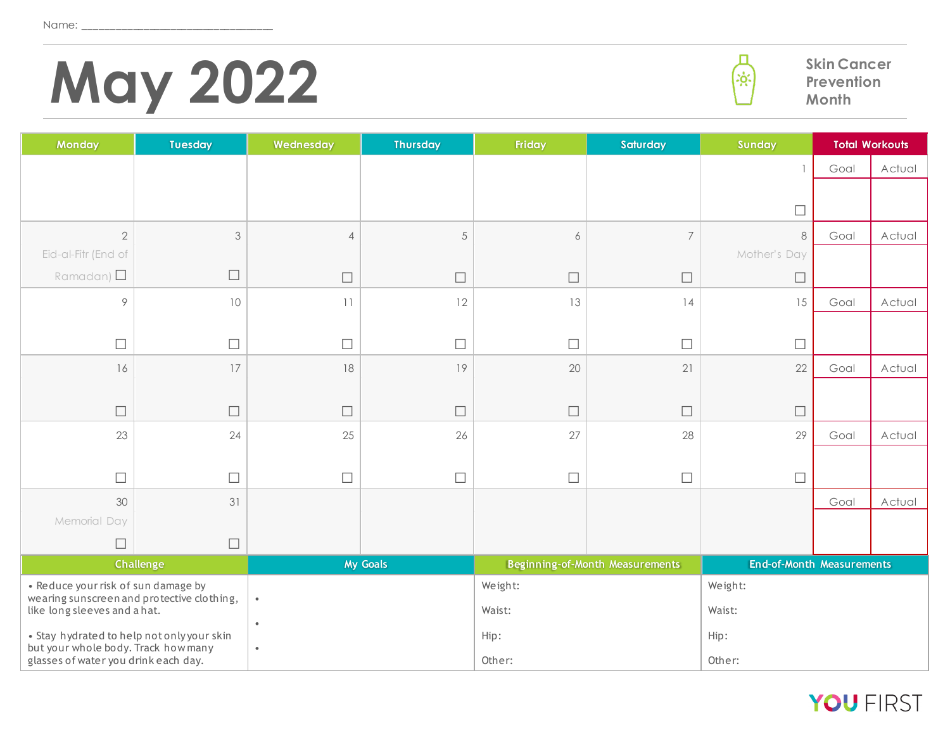# **May 2022 Skin Cancer Prevention**



| Monday                                                                            | <b>Tuesday</b>   | Wednesday      | <b>Thursday</b> | Friday  | Saturday                               | Sunday                           |      | <b>Total Workouts</b> |
|-----------------------------------------------------------------------------------|------------------|----------------|-----------------|---------|----------------------------------------|----------------------------------|------|-----------------------|
|                                                                                   |                  |                |                 |         |                                        | $\overline{1}$                   | Goal | Actual                |
|                                                                                   |                  |                |                 |         |                                        |                                  |      |                       |
|                                                                                   |                  |                |                 |         |                                        | $\Box$                           |      |                       |
| $\overline{2}$                                                                    | $\mathfrak{Z}$   | $\overline{4}$ | $\sqrt{5}$      | 6       | $\overline{7}$                         | 8                                | Goal | Actual                |
| Eid-al-Fitr (End of                                                               |                  |                |                 |         |                                        | Mother's Day                     |      |                       |
| Ramadan) $\square$                                                                | $\Box$           | $\Box$         | $\Box$          | $\Box$  | $\Box$                                 | $\Box$                           |      |                       |
| $\circ$                                                                           | 10               | 11             | 12              | 13      | 14                                     | 15                               | Goal | Actual                |
|                                                                                   |                  |                |                 |         |                                        |                                  |      |                       |
| $\Box$                                                                            | П                | $\Box$         | $\Box$          | $\Box$  | $\Box$                                 | $\Box$                           |      |                       |
| 16                                                                                | 17               | 18             | 19              | 20      | 21                                     | 22                               | Goal | Actual                |
|                                                                                   |                  |                |                 |         |                                        |                                  |      |                       |
| $\Box$                                                                            | $\Box$           | $\Box$         | $\Box$          | $\Box$  | $\Box$                                 | $\Box$                           |      |                       |
| 23                                                                                | 24               | 25             | 26              | 27      | 28                                     | 29                               | Goal | Actual                |
|                                                                                   |                  |                |                 |         |                                        |                                  |      |                       |
| $\Box$                                                                            | $\Box$           | $\Box$         | $\Box$          | $\Box$  | $\Box$                                 | $\Box$                           |      |                       |
| 30                                                                                | 31               |                |                 |         |                                        |                                  | Goal | Actual                |
| Memorial Day                                                                      |                  |                |                 |         |                                        |                                  |      |                       |
| $\Box$                                                                            | $\Box$           |                |                 |         |                                        |                                  |      |                       |
|                                                                                   | <b>Challenge</b> |                | <b>My Goals</b> |         | <b>Beginning-of-Month Measurements</b> | <b>End-of-Month Measurements</b> |      |                       |
| • Reduce your risk of sun damage by<br>wearing sunscreen and protective clothing, |                  | $\bullet$      |                 | Weight: |                                        | Weight:                          |      |                       |
| like long sleeves and a hat.                                                      |                  |                |                 | Waist:  |                                        | Waist:                           |      |                       |
| • Stay hydrated to help not only your skin                                        |                  | $\bullet$      |                 | Hip:    |                                        | Hip:                             |      |                       |
| but your whole body. Track how many<br>glasses of water you drink each day.       |                  | $\bullet$      |                 | Other:  |                                        | Other:                           |      |                       |

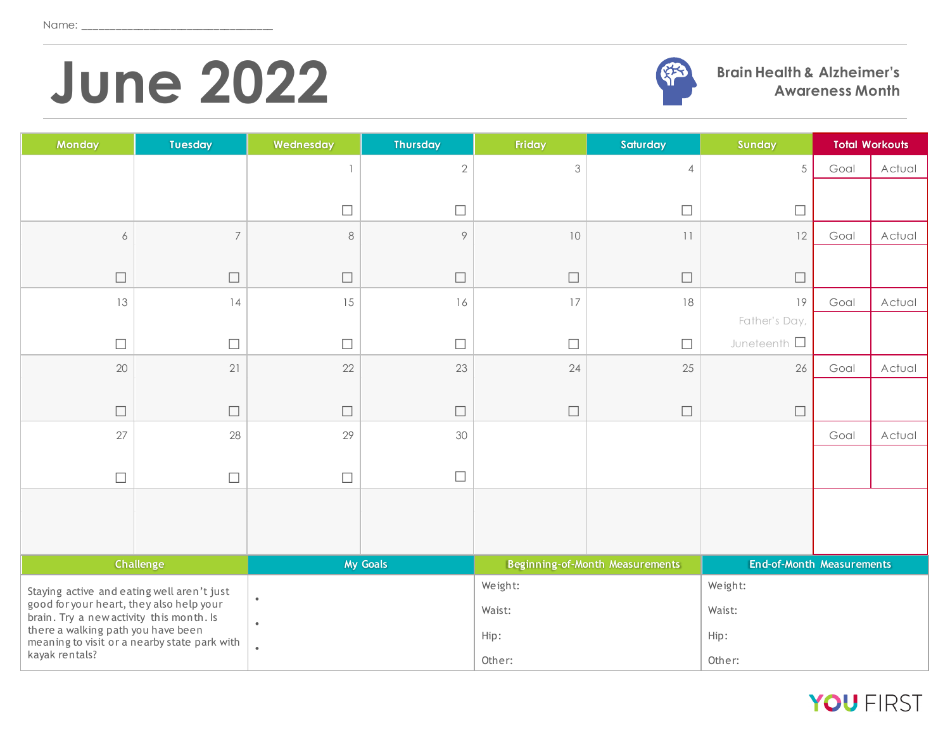## **June 2022 Brain Health & Alzheimer's**



**Awareness Month**

| Monday                                                                               | <b>Tuesday</b>   | Wednesday | <b>Thursday</b>  | Friday  | Saturday                               | <b>Sunday</b>                    |      | <b>Total Workouts</b> |
|--------------------------------------------------------------------------------------|------------------|-----------|------------------|---------|----------------------------------------|----------------------------------|------|-----------------------|
|                                                                                      |                  |           | $\overline{2}$   | 3       | $\overline{4}$                         | 5                                | Goal | Actual                |
|                                                                                      |                  |           |                  |         |                                        |                                  |      |                       |
|                                                                                      |                  | $\Box$    | $\Box$           |         | $\Box$                                 | $\Box$                           |      |                       |
| $\boldsymbol{6}$                                                                     | $\overline{7}$   | $\,8\,$   | $\circ$          | 10      | 11                                     | 12                               | Goal | Actual                |
|                                                                                      |                  |           |                  |         |                                        |                                  |      |                       |
| $\Box$                                                                               | $\Box$           | $\Box$    | $\Box$           | $\Box$  | $\Box$                                 | $\Box$                           |      |                       |
| 13                                                                                   | 14               | 15        | 16               | 17      | 18                                     | 19                               | Goal | Actual                |
|                                                                                      |                  |           |                  |         |                                        | Father's Day,                    |      |                       |
| $\Box$                                                                               | $\Box$           | $\Box$    | $\Box$           | $\Box$  | $\Box$                                 | Juneteenth $\Box$                |      |                       |
| 20                                                                                   | 21               | 22        | 23               | 24      | 25                                     | 26                               | Goal | Actual                |
|                                                                                      |                  |           |                  |         |                                        |                                  |      |                       |
| $\Box$                                                                               | $\Box$           | $\Box$    | $\Box$           | $\Box$  | $\Box$                                 | $\Box$                           |      |                       |
| 27                                                                                   | 28               | 29        | 30               |         |                                        |                                  | Goal | Actual                |
|                                                                                      |                  |           |                  |         |                                        |                                  |      |                       |
| $\Box$                                                                               | $\Box$           | $\Box$    | $\hfill \square$ |         |                                        |                                  |      |                       |
|                                                                                      |                  |           |                  |         |                                        |                                  |      |                       |
|                                                                                      |                  |           |                  |         |                                        |                                  |      |                       |
|                                                                                      |                  |           |                  |         |                                        |                                  |      |                       |
|                                                                                      | <b>Challenge</b> |           | <b>My Goals</b>  |         | <b>Beginning-of-Month Measurements</b> | <b>End-of-Month Measurements</b> |      |                       |
| Staying active and eating well aren't just                                           |                  | $\bullet$ |                  | Weight: |                                        | Weight:                          |      |                       |
| good for your heart, they also help your<br>brain. Try a new activity this month. Is |                  | $\bullet$ |                  | Waist:  |                                        | Waist:                           |      |                       |
| there a walking path you have been                                                   |                  |           |                  | Hip:    |                                        | Hip:                             |      |                       |
| meaning to visit or a nearby state park with<br>kayak rentals?                       |                  | $\bullet$ |                  | Other:  |                                        | Other:                           |      |                       |

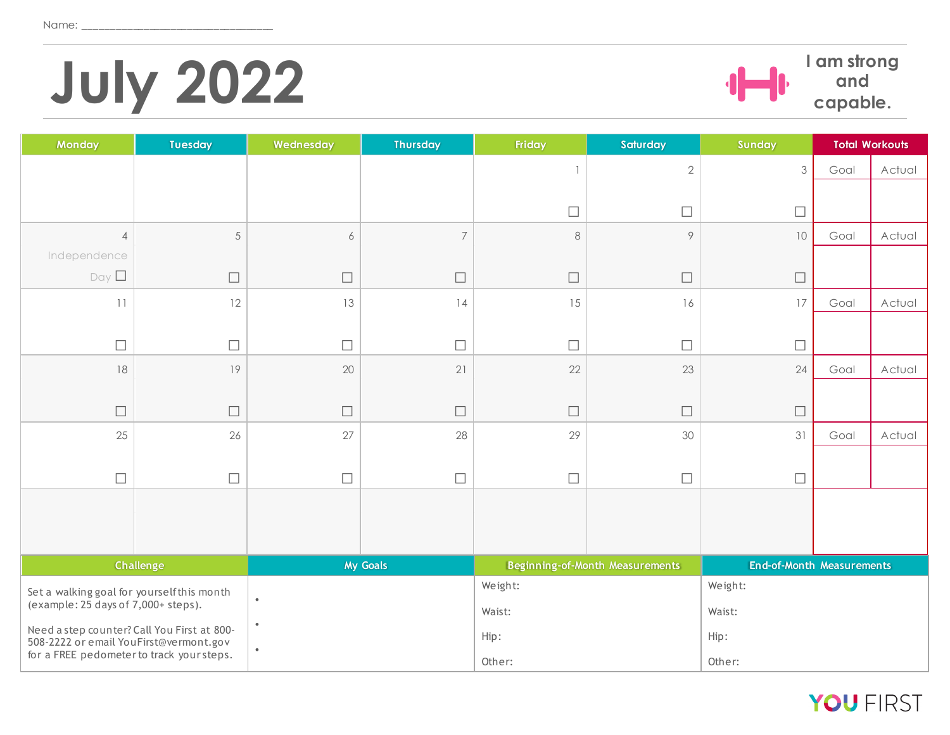# **July 2022**<br>*I***<sub>capable.**</sub>



**and capable.** 

| Monday                                                                                | <b>Tuesday</b>   | Wednesday | <b>Thursday</b> | Friday         | Saturday                               | Sunday                           |      | <b>Total Workouts</b> |
|---------------------------------------------------------------------------------------|------------------|-----------|-----------------|----------------|----------------------------------------|----------------------------------|------|-----------------------|
|                                                                                       |                  |           |                 | $\overline{1}$ | $\sqrt{2}$                             | 3                                | Goal | Actual                |
|                                                                                       |                  |           |                 |                |                                        |                                  |      |                       |
|                                                                                       |                  |           |                 | $\Box$         | $\Box$                                 | $\Box$                           |      |                       |
| $\overline{4}$                                                                        | $\sqrt{5}$       | 6         | $\overline{7}$  | $\,8\,$        | $\circ$                                | $10$                             | Goal | Actual                |
| Independence                                                                          |                  |           |                 |                |                                        |                                  |      |                       |
| Day                                                                                   | $\Box$           | ⊔         | $\Box$          | $\Box$         | $\Box$                                 | $\Box$                           |      |                       |
| 11                                                                                    | 12               | 13        | 14              | 15             | 16                                     | $17\,$                           | Goal | Actual                |
|                                                                                       |                  |           |                 |                |                                        |                                  |      |                       |
| $\Box$                                                                                | $\Box$           | $\Box$    | $\Box$          | $\Box$         | $\Box$                                 | $\Box$                           |      |                       |
| 18                                                                                    | 19               | 20        | 21              | 22             | 23                                     | 24                               | Goal | Actual                |
|                                                                                       |                  |           |                 |                |                                        |                                  |      |                       |
| $\Box$                                                                                | $\Box$           | $\Box$    | $\Box$          | $\Box$         | $\Box$                                 | $\Box$                           |      |                       |
| 25                                                                                    | 26               | 27        | 28              | 29             | 30                                     | 31                               | Goal | Actual                |
|                                                                                       |                  |           |                 |                |                                        |                                  |      |                       |
| $\Box$                                                                                | $\Box$           | $\perp$   | $\Box$          | $\Box$         | $\Box$                                 | $\Box$                           |      |                       |
|                                                                                       |                  |           |                 |                |                                        |                                  |      |                       |
|                                                                                       |                  |           |                 |                |                                        |                                  |      |                       |
|                                                                                       |                  |           |                 |                |                                        |                                  |      |                       |
|                                                                                       | <b>Challenge</b> |           | <b>My Goals</b> |                | <b>Beginning-of-Month Measurements</b> | <b>End-of-Month Measurements</b> |      |                       |
| Set a walking goal for yourself this month                                            |                  | $\bullet$ |                 | Weight:        |                                        | Weight:                          |      |                       |
| (example: 25 days of 7,000+ steps).                                                   |                  | $\bullet$ |                 | Waist:         |                                        | Waist:                           |      |                       |
| Need a step counter? Call You First at 800-<br>508-2222 or email YouFirst@vermont.gov |                  |           |                 | Hip:           |                                        | Hip:                             |      |                       |
| for a FREE pedometer to track your steps.                                             |                  | $\bullet$ |                 | Other:         |                                        | Other:                           |      |                       |

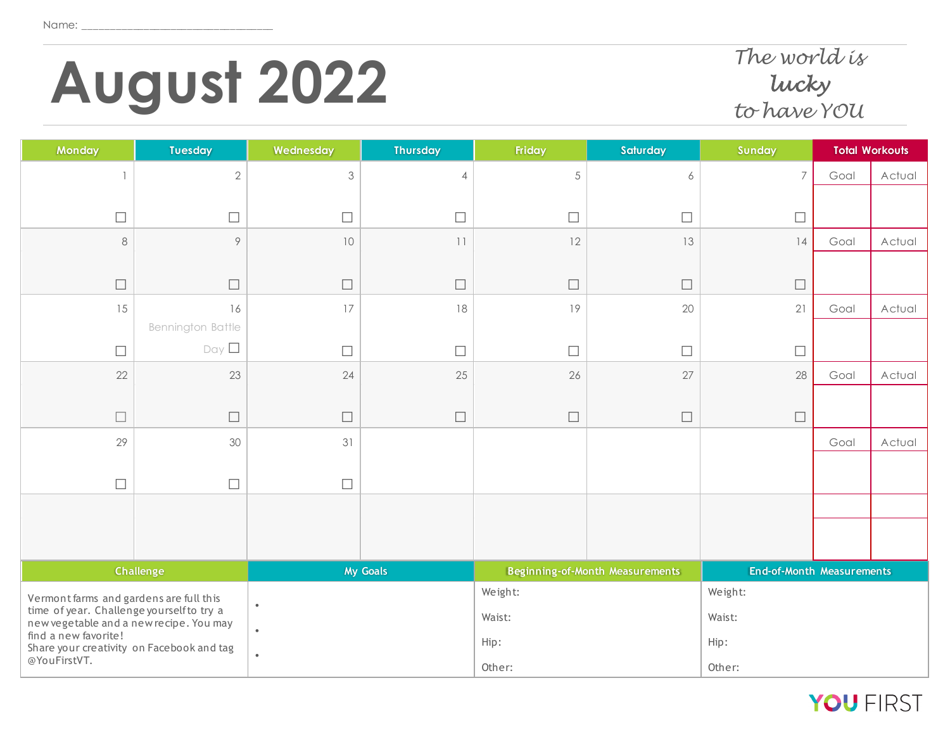# **August 2022** *The world is*

#### *lucky to have YOU*

| Monday                                                                               | <b>Tuesday</b>    | Wednesday                 | <b>Thursday</b> | Friday     | Saturday                        | Sunday                           |      | <b>Total Workouts</b> |
|--------------------------------------------------------------------------------------|-------------------|---------------------------|-----------------|------------|---------------------------------|----------------------------------|------|-----------------------|
| $\mathbf{1}$                                                                         | $\mathbf{2}$      | $\ensuremath{\mathsf{3}}$ | $\overline{4}$  | $\sqrt{5}$ | 6                               | $\overline{7}$                   | Goal | Actual                |
|                                                                                      |                   |                           |                 |            |                                 |                                  |      |                       |
| $\Box$                                                                               | $\Box$            | $\Box$                    | $\Box$          | $\Box$     | $\Box$                          | $\Box$                           |      |                       |
| $\,8\,$                                                                              | $\circ$           | $10$                      | 11              | 12         | 13                              | 14                               | Goal | Actual                |
| $\Box$                                                                               | $\Box$            | $\Box$                    | $\Box$          | $\Box$     | $\Box$                          | $\Box$                           |      |                       |
| 15                                                                                   | 16                | 17                        | 18              | 19         | 20                              | 21                               | Goal | Actual                |
|                                                                                      | Bennington Battle |                           |                 |            |                                 |                                  |      |                       |
| $\Box$                                                                               | Day               | $\Box$                    | $\Box$          | $\Box$     | $\Box$                          | $\Box$                           |      |                       |
| 22                                                                                   | 23                | 24                        | 25              | 26         | 27                              | 28                               | Goal | Actual                |
|                                                                                      |                   |                           |                 |            |                                 |                                  |      |                       |
| $\Box$                                                                               | $\Box$            | $\Box$                    | $\Box$          | $\Box$     | $\Box$                          | $\Box$                           |      |                       |
| 29                                                                                   | 30                | 31                        |                 |            |                                 |                                  | Goal | Actual                |
|                                                                                      |                   |                           |                 |            |                                 |                                  |      |                       |
| $\Box$                                                                               | $\Box$            | $\Box$                    |                 |            |                                 |                                  |      |                       |
|                                                                                      |                   |                           |                 |            |                                 |                                  |      |                       |
|                                                                                      |                   |                           |                 |            |                                 |                                  |      |                       |
|                                                                                      | <b>Challenge</b>  |                           | <b>My Goals</b> |            | Beginning-of-Month Measurements | <b>End-of-Month Measurements</b> |      |                       |
| Vermont farms and gardens are full this                                              |                   | $\bullet$                 |                 | Weight:    |                                 | Weight:                          |      |                       |
| time of year. Challenge yourself to try a<br>new vegetable and a new recipe. You may |                   | $\bullet$                 |                 | Waist:     |                                 | Waist:                           |      |                       |
| find a new favorite!                                                                 |                   |                           |                 | Hip:       |                                 | Hip:                             |      |                       |
| Share your creativity on Facebook and tag<br>@YouFirstVT.                            |                   | $\bullet$                 |                 | Other:     |                                 | Other:                           |      |                       |

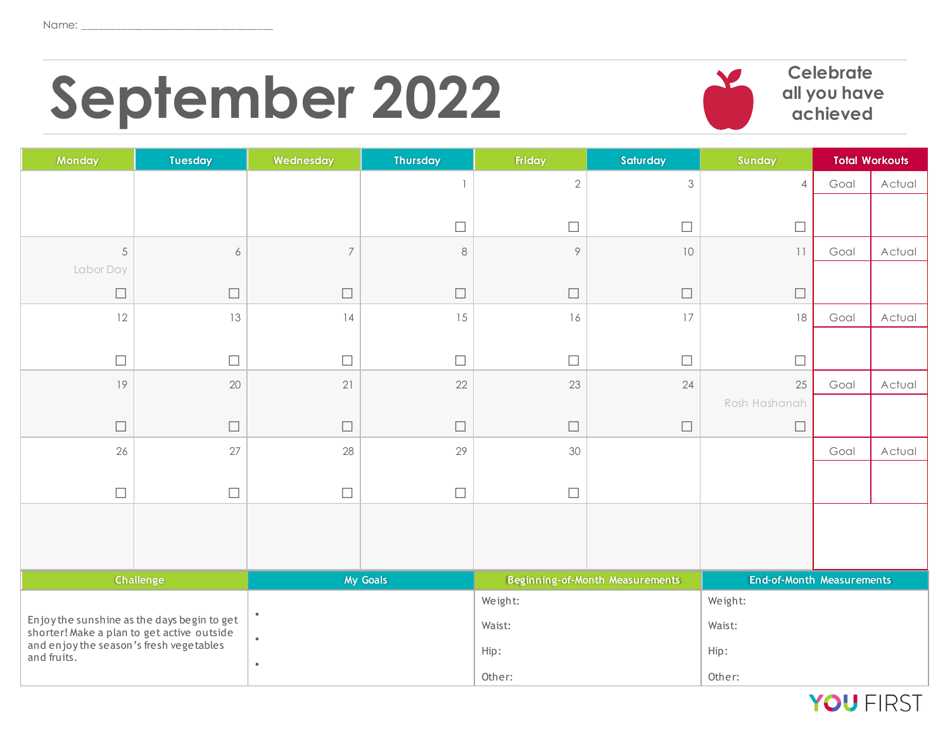# September 2022 **Celebrate Celebrate**



**all you have achieved**

| <b>Monday</b>                                          | <b>Tuesday</b>                                                                            | Wednesday      | <b>Thursday</b> | Friday         | Saturday                               | Sunday                           |      | <b>Total Workouts</b> |
|--------------------------------------------------------|-------------------------------------------------------------------------------------------|----------------|-----------------|----------------|----------------------------------------|----------------------------------|------|-----------------------|
|                                                        |                                                                                           |                | $\overline{1}$  | $\overline{2}$ | $\mathfrak{Z}$                         | $\overline{4}$                   | Goal | Actual                |
|                                                        |                                                                                           |                |                 |                |                                        |                                  |      |                       |
|                                                        |                                                                                           |                | $\Box$          | $\Box$         | $\Box$                                 | $\Box$                           |      |                       |
| $\sqrt{5}$                                             | 6                                                                                         | $\overline{7}$ | $\,8\,$         | $\circ$        | $10$                                   | 11                               | Goal | Actual                |
| Labor Day                                              |                                                                                           |                |                 |                |                                        |                                  |      |                       |
| $\Box$                                                 | $\Box$                                                                                    | $\Box$         | $\Box$          | $\Box$         | $\Box$                                 | $\Box$                           |      |                       |
| 12                                                     | 13                                                                                        | 4              | 15              | 16             | 17                                     | 18                               | Goal | Actual                |
|                                                        |                                                                                           |                |                 |                |                                        |                                  |      |                       |
| $\Box$                                                 | $\Box$                                                                                    | $\Box$         | $\Box$          | $\Box$         | $\Box$                                 | $\Box$                           |      |                       |
| 19                                                     | 20                                                                                        | 21             | 22              | 23             | 24                                     | 25                               | Goal | Actual                |
|                                                        |                                                                                           |                |                 |                |                                        | Rosh Hashanah                    |      |                       |
| $\Box$                                                 | $\Box$                                                                                    | $\Box$         | $\Box$          | $\Box$         | $\Box$                                 | $\Box$                           |      |                       |
| 26                                                     | 27                                                                                        | 28             | 29              | 30             |                                        |                                  | Goal | Actual                |
|                                                        |                                                                                           |                |                 |                |                                        |                                  |      |                       |
| $\Box$                                                 | $\Box$                                                                                    | $\Box$         | $\Box$          | $\Box$         |                                        |                                  |      |                       |
|                                                        |                                                                                           |                |                 |                |                                        |                                  |      |                       |
|                                                        |                                                                                           |                |                 |                |                                        |                                  |      |                       |
|                                                        |                                                                                           |                |                 |                |                                        |                                  |      |                       |
|                                                        | <b>Challenge</b>                                                                          |                | My Goals        |                | <b>Beginning-of-Month Measurements</b> | <b>End-of-Month Measurements</b> |      |                       |
|                                                        |                                                                                           | $\bullet$      |                 | Weight:        |                                        | Weight:                          |      |                       |
|                                                        | Enjoy the sunshine as the days begin to get<br>shorter! Make a plan to get active outside |                |                 | Waist:         |                                        | Waist:                           |      |                       |
| and enjoy the season's fresh vegetables<br>and fruits. |                                                                                           | $\bullet$      |                 | Hip:           |                                        | Hip:                             |      |                       |
|                                                        |                                                                                           | $\bullet$      |                 | Other:         |                                        | Other:                           |      |                       |

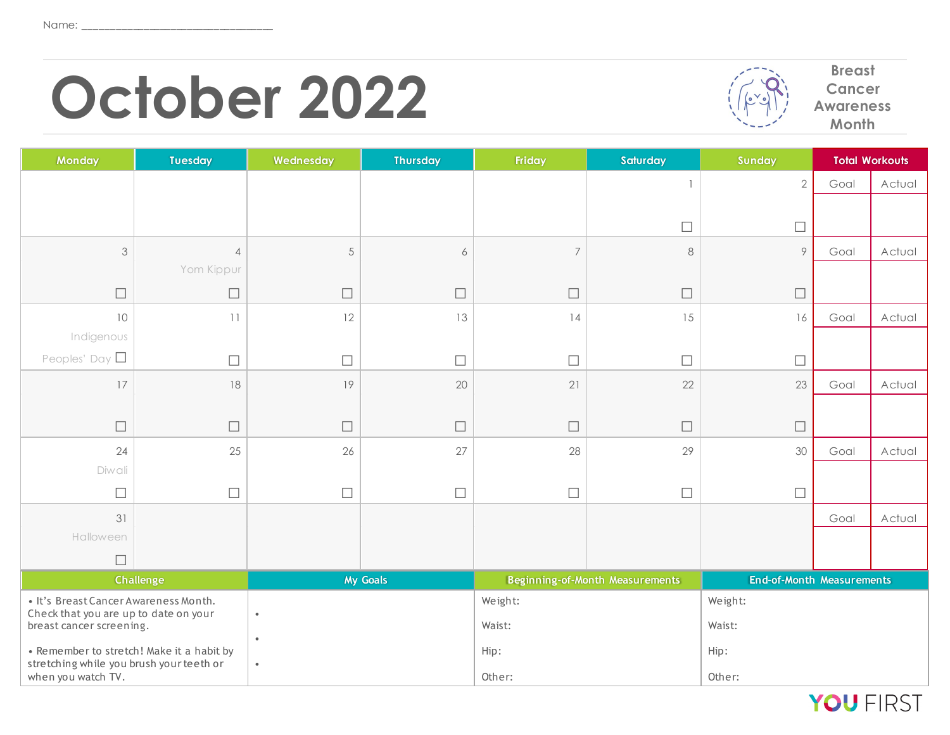## **October 2022** *Precess*



**Cancer Awareness Month**

| Monday                                                                         | <b>Tuesday</b>   | Wednesday | <b>Thursday</b> | Friday         | Saturday                               | Sunday                           |      | <b>Total Workouts</b> |
|--------------------------------------------------------------------------------|------------------|-----------|-----------------|----------------|----------------------------------------|----------------------------------|------|-----------------------|
|                                                                                |                  |           |                 |                |                                        | $\overline{2}$                   | Goal | Actual                |
|                                                                                |                  |           |                 |                |                                        |                                  |      |                       |
|                                                                                |                  |           |                 |                | $\Box$                                 | $\Box$                           |      |                       |
| $\mathfrak{Z}$                                                                 | $\overline{4}$   | 5         | 6               | $\overline{7}$ | $\,8\,$                                | 9                                | Goal | Actual                |
|                                                                                | Yom Kippur       |           |                 |                |                                        |                                  |      |                       |
| $\Box$                                                                         | $\Box$           | $\Box$    | $\Box$          | $\Box$         | $\Box$                                 | $\Box$                           |      |                       |
| 10                                                                             | 11               | 12        | 13              | 14             | 15                                     | 16                               | Goal | Actual                |
| Indigenous                                                                     |                  |           |                 |                |                                        |                                  |      |                       |
| Peoples' Day $\square$                                                         | $\Box$           | $\Box$    | $\Box$          | $\Box$         | $\Box$                                 | $\Box$                           |      |                       |
| 17                                                                             | 18               | 19        | 20              | 21             | 22                                     | 23                               | Goal | Actual                |
|                                                                                |                  |           |                 |                |                                        |                                  |      |                       |
| $\Box$                                                                         | $\Box$           | $\Box$    | $\Box$          | $\Box$         | $\Box$                                 | $\Box$                           |      |                       |
| 24                                                                             | 25               | 26        | 27              | 28             | 29                                     | 30                               | Goal | Actual                |
| Diwali                                                                         |                  |           |                 |                |                                        |                                  |      |                       |
| $\overline{\phantom{a}}$                                                       | $\Box$           | $\Box$    | $\Box$          | $\Box$         | $\Box$                                 | $\Box$                           |      |                       |
| 31                                                                             |                  |           |                 |                |                                        |                                  | Goal | Actual                |
| Halloween                                                                      |                  |           |                 |                |                                        |                                  |      |                       |
| $\Box$                                                                         |                  |           |                 |                |                                        |                                  |      |                       |
|                                                                                | <b>Challenge</b> |           | My Goals        |                | <b>Beginning-of-Month Measurements</b> | <b>End-of-Month Measurements</b> |      |                       |
| · It's Breast Cancer Awareness Month.<br>Check that you are up to date on your |                  | $\bullet$ |                 | Weight:        |                                        | Weight:                          |      |                       |
| breast cancer screening.                                                       |                  | $\bullet$ |                 | Waist:         |                                        | Waist:                           |      |                       |
| • Remember to stretch! Make it a habit by                                      |                  |           |                 | Hip:           |                                        | Hip:                             |      |                       |
| stretching while you brush your teeth or<br>when you watch TV.                 |                  | $\bullet$ |                 | Other:         |                                        | Other:                           |      |                       |

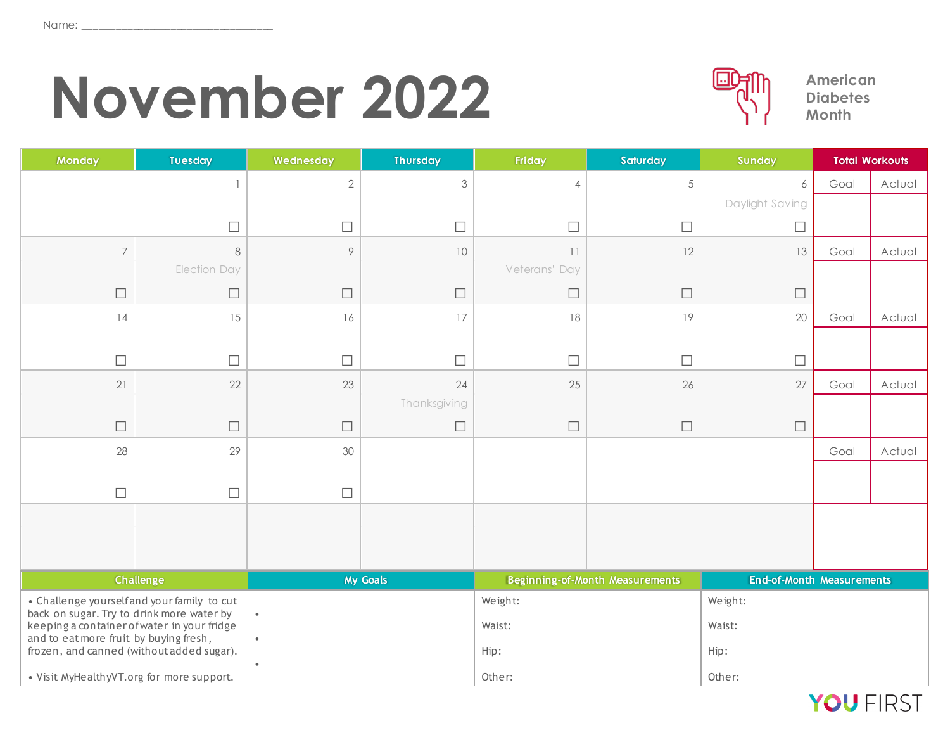### November 2022 *American* **American PM** American



**Diabetes Month**

| <b>Monday</b>                                                                                      | <b>Tuesday</b>                                         | Wednesday  | <b>Thursday</b> | Friday         | Saturday                               | Sunday                           |      | <b>Total Workouts</b> |  |
|----------------------------------------------------------------------------------------------------|--------------------------------------------------------|------------|-----------------|----------------|----------------------------------------|----------------------------------|------|-----------------------|--|
|                                                                                                    |                                                        | $\sqrt{2}$ | $\mathfrak{Z}$  | $\overline{4}$ | $\sqrt{5}$                             | 6                                | Goal | Actual                |  |
|                                                                                                    |                                                        |            |                 |                |                                        | Daylight Saving                  |      |                       |  |
|                                                                                                    | $\Box$                                                 | $\Box$     | $\Box$          | $\Box$         | $\Box$                                 | $\Box$                           |      |                       |  |
| $\overline{7}$                                                                                     | 8                                                      | $\circ$    | 10              | 11             | 12                                     | 13                               | Goal | Actual                |  |
|                                                                                                    | Election Day                                           |            |                 | Veterans' Day  |                                        |                                  |      |                       |  |
| $\Box$                                                                                             | $\Box$                                                 | $\Box$     | $\Box$          | $\Box$         | $\Box$                                 | $\Box$                           |      |                       |  |
| 14                                                                                                 | 15                                                     | 16         | 17              | 18             | 19                                     | 20                               | Goal | Actual                |  |
|                                                                                                    |                                                        |            |                 |                |                                        |                                  |      |                       |  |
| $\Box$                                                                                             | $\Box$                                                 | $\Box$     | $\Box$          | $\Box$         | $\Box$                                 | $\Box$                           |      |                       |  |
| 21                                                                                                 | 22                                                     | 23         | 24              | 25             | 26                                     | 27                               | Goal | Actual                |  |
|                                                                                                    |                                                        |            | Thanksgiving    |                |                                        |                                  |      |                       |  |
| $\Box$                                                                                             | $\Box$                                                 | $\Box$     | $\Box$          | $\Box$         | $\Box$                                 | $\Box$                           |      |                       |  |
| 28                                                                                                 | 29                                                     | 30         |                 |                |                                        |                                  | Goal | Actual                |  |
|                                                                                                    |                                                        |            |                 |                |                                        |                                  |      |                       |  |
| $\Box$                                                                                             | $\Box$                                                 | $\Box$     |                 |                |                                        |                                  |      |                       |  |
|                                                                                                    |                                                        |            |                 |                |                                        |                                  |      |                       |  |
|                                                                                                    |                                                        |            |                 |                |                                        |                                  |      |                       |  |
|                                                                                                    |                                                        |            |                 |                |                                        |                                  |      |                       |  |
|                                                                                                    | Challenge<br><b>My Goals</b>                           |            |                 |                | <b>Beginning-of-Month Measurements</b> | <b>End-of-Month Measurements</b> |      |                       |  |
| • Challenge yourselfand your family to cut<br>back on sugar. Try to drink more water by            |                                                        | $\bullet$  |                 | Weight:        |                                        | Weight:                          |      |                       |  |
| keeping a container of water in your fridge<br>and to eat more fruit by buying fresh,<br>$\bullet$ |                                                        |            |                 | Waist:         |                                        | Waist:                           |      |                       |  |
|                                                                                                    | frozen, and canned (without added sugar).<br>$\bullet$ |            | Hip:            |                | Hip:                                   |                                  |      |                       |  |
| • Visit MyHealthyVT.org for more support.                                                          |                                                        |            |                 | Other:         |                                        | Other:                           |      |                       |  |